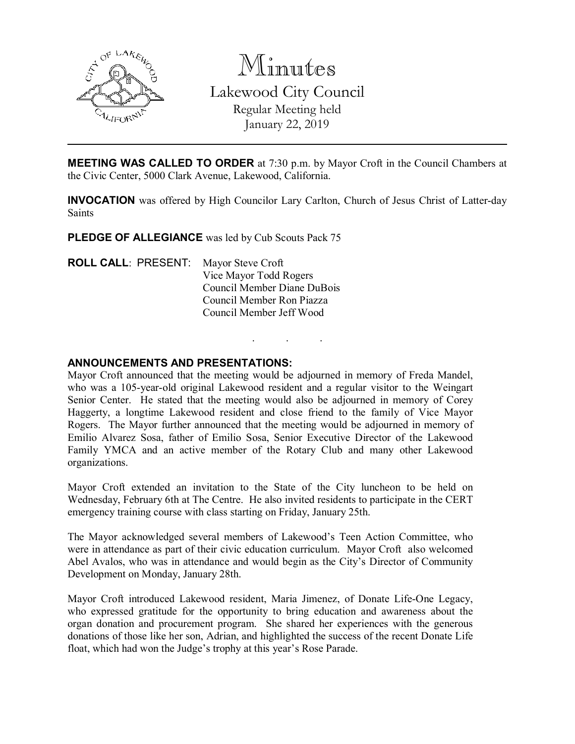

Minutes Lakewood City Council Regular Meeting held January 22, 2019

**MEETING WAS CALLED TO ORDER** at 7:30 p.m. by Mayor Croft in the Council Chambers at the Civic Center, 5000 Clark Avenue, Lakewood, California.

INVOCATION was offered by High Councilor Lary Carlton, Church of Jesus Christ of Latter-day Saints

. . .

PLEDGE OF ALLEGIANCE was led by Cub Scouts Pack 75

| <b>ROLL CALL: PRESENT:</b> Mayor Steve Croft |                             |
|----------------------------------------------|-----------------------------|
|                                              | Vice Mayor Todd Rogers      |
|                                              | Council Member Diane DuBois |
|                                              | Council Member Ron Piazza   |
|                                              | Council Member Jeff Wood    |
|                                              |                             |

## ANNOUNCEMENTS AND PRESENTATIONS:

Mayor Croft announced that the meeting would be adjourned in memory of Freda Mandel, who was a 105-year-old original Lakewood resident and a regular visitor to the Weingart Senior Center. He stated that the meeting would also be adjourned in memory of Corey Haggerty, a longtime Lakewood resident and close friend to the family of Vice Mayor Rogers. The Mayor further announced that the meeting would be adjourned in memory of Emilio Alvarez Sosa, father of Emilio Sosa, Senior Executive Director of the Lakewood Family YMCA and an active member of the Rotary Club and many other Lakewood organizations.

Mayor Croft extended an invitation to the State of the City luncheon to be held on Wednesday, February 6th at The Centre. He also invited residents to participate in the CERT emergency training course with class starting on Friday, January 25th.

The Mayor acknowledged several members of Lakewood's Teen Action Committee, who were in attendance as part of their civic education curriculum. Mayor Croft also welcomed Abel Avalos, who was in attendance and would begin as the City's Director of Community Development on Monday, January 28th.

Mayor Croft introduced Lakewood resident, Maria Jimenez, of Donate Life-One Legacy, who expressed gratitude for the opportunity to bring education and awareness about the organ donation and procurement program. She shared her experiences with the generous donations of those like her son, Adrian, and highlighted the success of the recent Donate Life float, which had won the Judge's trophy at this year's Rose Parade.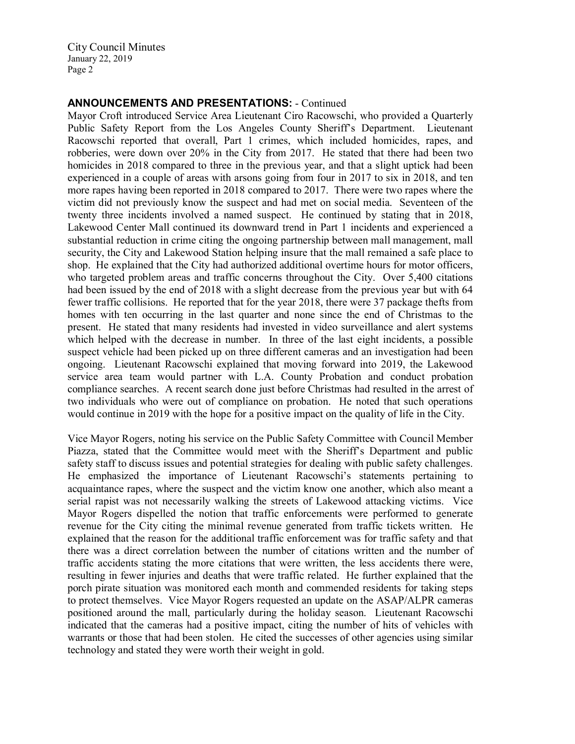## ANNOUNCEMENTS AND PRESENTATIONS: - Continued

Mayor Croft introduced Service Area Lieutenant Ciro Racowschi, who provided a Quarterly Public Safety Report from the Los Angeles County Sheriff's Department. Lieutenant Racowschi reported that overall, Part 1 crimes, which included homicides, rapes, and robberies, were down over 20% in the City from 2017. He stated that there had been two homicides in 2018 compared to three in the previous year, and that a slight uptick had been experienced in a couple of areas with arsons going from four in 2017 to six in 2018, and ten more rapes having been reported in 2018 compared to 2017. There were two rapes where the victim did not previously know the suspect and had met on social media. Seventeen of the twenty three incidents involved a named suspect. He continued by stating that in 2018, Lakewood Center Mall continued its downward trend in Part 1 incidents and experienced a substantial reduction in crime citing the ongoing partnership between mall management, mall security, the City and Lakewood Station helping insure that the mall remained a safe place to shop. He explained that the City had authorized additional overtime hours for motor officers, who targeted problem areas and traffic concerns throughout the City. Over 5,400 citations had been issued by the end of 2018 with a slight decrease from the previous year but with 64 fewer traffic collisions. He reported that for the year 2018, there were 37 package thefts from homes with ten occurring in the last quarter and none since the end of Christmas to the present. He stated that many residents had invested in video surveillance and alert systems which helped with the decrease in number. In three of the last eight incidents, a possible suspect vehicle had been picked up on three different cameras and an investigation had been ongoing. Lieutenant Racowschi explained that moving forward into 2019, the Lakewood service area team would partner with L.A. County Probation and conduct probation compliance searches. A recent search done just before Christmas had resulted in the arrest of two individuals who were out of compliance on probation. He noted that such operations would continue in 2019 with the hope for a positive impact on the quality of life in the City.

Vice Mayor Rogers, noting his service on the Public Safety Committee with Council Member Piazza, stated that the Committee would meet with the Sheriff's Department and public safety staff to discuss issues and potential strategies for dealing with public safety challenges. He emphasized the importance of Lieutenant Racowschi's statements pertaining to acquaintance rapes, where the suspect and the victim know one another, which also meant a serial rapist was not necessarily walking the streets of Lakewood attacking victims. Vice Mayor Rogers dispelled the notion that traffic enforcements were performed to generate revenue for the City citing the minimal revenue generated from traffic tickets written. He explained that the reason for the additional traffic enforcement was for traffic safety and that there was a direct correlation between the number of citations written and the number of traffic accidents stating the more citations that were written, the less accidents there were, resulting in fewer injuries and deaths that were traffic related. He further explained that the porch pirate situation was monitored each month and commended residents for taking steps to protect themselves. Vice Mayor Rogers requested an update on the ASAP/ALPR cameras positioned around the mall, particularly during the holiday season. Lieutenant Racowschi indicated that the cameras had a positive impact, citing the number of hits of vehicles with warrants or those that had been stolen. He cited the successes of other agencies using similar technology and stated they were worth their weight in gold.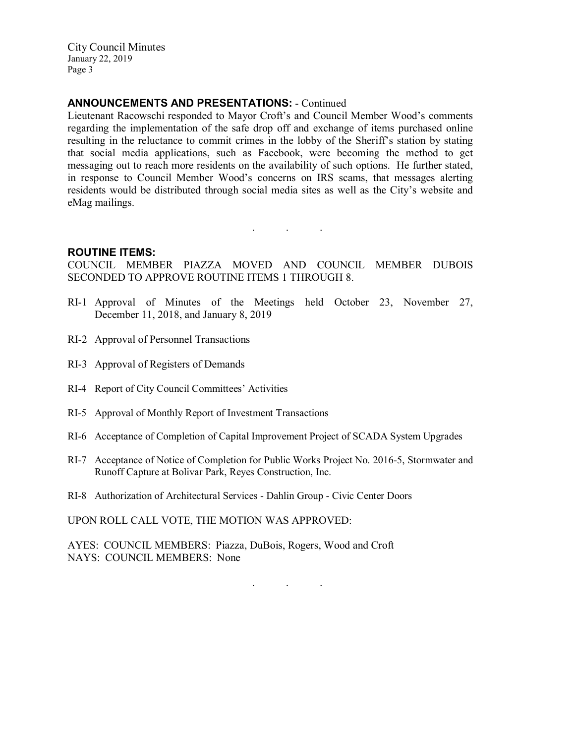## ANNOUNCEMENTS AND PRESENTATIONS: - Continued

Lieutenant Racowschi responded to Mayor Croft's and Council Member Wood's comments regarding the implementation of the safe drop off and exchange of items purchased online resulting in the reluctance to commit crimes in the lobby of the Sheriff's station by stating that social media applications, such as Facebook, were becoming the method to get messaging out to reach more residents on the availability of such options. He further stated, in response to Council Member Wood's concerns on IRS scams, that messages alerting residents would be distributed through social media sites as well as the City's website and eMag mailings.

. . .

#### ROUTINE ITEMS:

COUNCIL MEMBER PIAZZA MOVED AND COUNCIL MEMBER DUBOIS SECONDED TO APPROVE ROUTINE ITEMS 1 THROUGH 8.

- RI-1 Approval of Minutes of the Meetings held October 23, November 27, December 11, 2018, and January 8, 2019
- RI-2 Approval of Personnel Transactions
- RI-3 Approval of Registers of Demands
- RI-4 Report of City Council Committees' Activities
- RI-5 Approval of Monthly Report of Investment Transactions
- RI-6 Acceptance of Completion of Capital Improvement Project of SCADA System Upgrades
- RI-7 Acceptance of Notice of Completion for Public Works Project No. 2016-5, Stormwater and Runoff Capture at Bolivar Park, Reyes Construction, Inc.
- RI-8 Authorization of Architectural Services Dahlin Group Civic Center Doors

UPON ROLL CALL VOTE, THE MOTION WAS APPROVED:

AYES: COUNCIL MEMBERS: Piazza, DuBois, Rogers, Wood and Croft NAYS: COUNCIL MEMBERS: None

. . .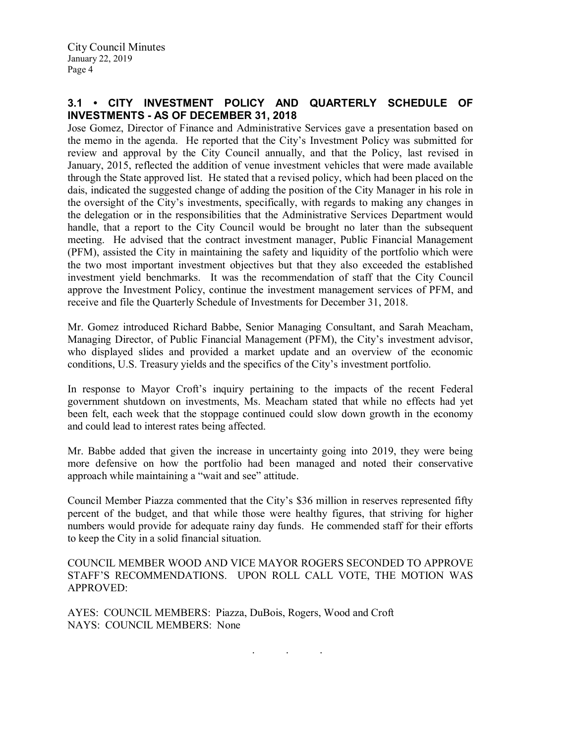# 3.1 • CITY INVESTMENT POLICY AND QUARTERLY SCHEDULE OF INVESTMENTS - AS OF DECEMBER 31, 2018

Jose Gomez, Director of Finance and Administrative Services gave a presentation based on the memo in the agenda. He reported that the City's Investment Policy was submitted for review and approval by the City Council annually, and that the Policy, last revised in January, 2015, reflected the addition of venue investment vehicles that were made available through the State approved list. He stated that a revised policy, which had been placed on the dais, indicated the suggested change of adding the position of the City Manager in his role in the oversight of the City's investments, specifically, with regards to making any changes in the delegation or in the responsibilities that the Administrative Services Department would handle, that a report to the City Council would be brought no later than the subsequent meeting. He advised that the contract investment manager, Public Financial Management (PFM), assisted the City in maintaining the safety and liquidity of the portfolio which were the two most important investment objectives but that they also exceeded the established investment yield benchmarks. It was the recommendation of staff that the City Council approve the Investment Policy, continue the investment management services of PFM, and receive and file the Quarterly Schedule of Investments for December 31, 2018.

Mr. Gomez introduced Richard Babbe, Senior Managing Consultant, and Sarah Meacham, Managing Director, of Public Financial Management (PFM), the City's investment advisor, who displayed slides and provided a market update and an overview of the economic conditions, U.S. Treasury yields and the specifics of the City's investment portfolio.

In response to Mayor Croft's inquiry pertaining to the impacts of the recent Federal government shutdown on investments, Ms. Meacham stated that while no effects had yet been felt, each week that the stoppage continued could slow down growth in the economy and could lead to interest rates being affected.

Mr. Babbe added that given the increase in uncertainty going into 2019, they were being more defensive on how the portfolio had been managed and noted their conservative approach while maintaining a "wait and see" attitude.

Council Member Piazza commented that the City's \$36 million in reserves represented fifty percent of the budget, and that while those were healthy figures, that striving for higher numbers would provide for adequate rainy day funds. He commended staff for their efforts to keep the City in a solid financial situation.

COUNCIL MEMBER WOOD AND VICE MAYOR ROGERS SECONDED TO APPROVE STAFF'S RECOMMENDATIONS. UPON ROLL CALL VOTE, THE MOTION WAS APPROVED:

. . .

AYES: COUNCIL MEMBERS: Piazza, DuBois, Rogers, Wood and Croft NAYS: COUNCIL MEMBERS: None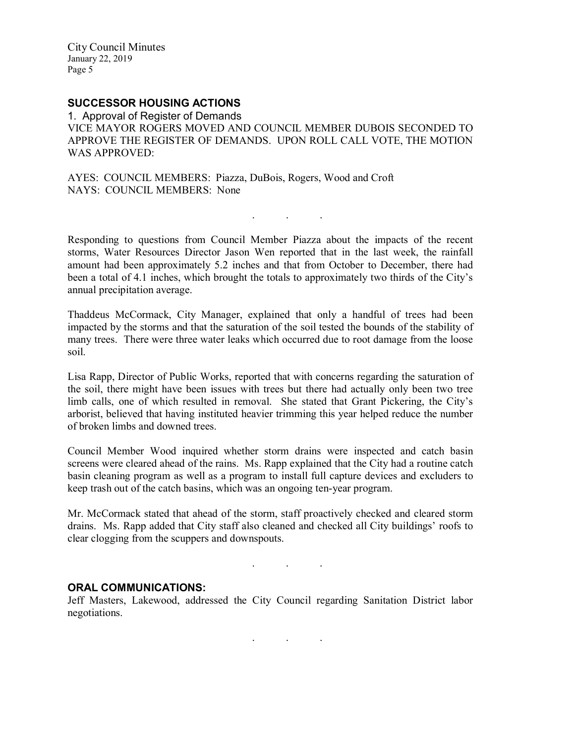# SUCCESSOR HOUSING ACTIONS

1. Approval of Register of Demands VICE MAYOR ROGERS MOVED AND COUNCIL MEMBER DUBOIS SECONDED TO APPROVE THE REGISTER OF DEMANDS. UPON ROLL CALL VOTE, THE MOTION WAS APPROVED:

AYES: COUNCIL MEMBERS: Piazza, DuBois, Rogers, Wood and Croft NAYS: COUNCIL MEMBERS: None

Responding to questions from Council Member Piazza about the impacts of the recent storms, Water Resources Director Jason Wen reported that in the last week, the rainfall amount had been approximately 5.2 inches and that from October to December, there had been a total of 4.1 inches, which brought the totals to approximately two thirds of the City's annual precipitation average.

. . .

Thaddeus McCormack, City Manager, explained that only a handful of trees had been impacted by the storms and that the saturation of the soil tested the bounds of the stability of many trees. There were three water leaks which occurred due to root damage from the loose soil.

Lisa Rapp, Director of Public Works, reported that with concerns regarding the saturation of the soil, there might have been issues with trees but there had actually only been two tree limb calls, one of which resulted in removal. She stated that Grant Pickering, the City's arborist, believed that having instituted heavier trimming this year helped reduce the number of broken limbs and downed trees.

Council Member Wood inquired whether storm drains were inspected and catch basin screens were cleared ahead of the rains. Ms. Rapp explained that the City had a routine catch basin cleaning program as well as a program to install full capture devices and excluders to keep trash out of the catch basins, which was an ongoing ten-year program.

Mr. McCormack stated that ahead of the storm, staff proactively checked and cleared storm drains. Ms. Rapp added that City staff also cleaned and checked all City buildings' roofs to clear clogging from the scuppers and downspouts.

## ORAL COMMUNICATIONS:

Jeff Masters, Lakewood, addressed the City Council regarding Sanitation District labor negotiations.

. . .

. . .